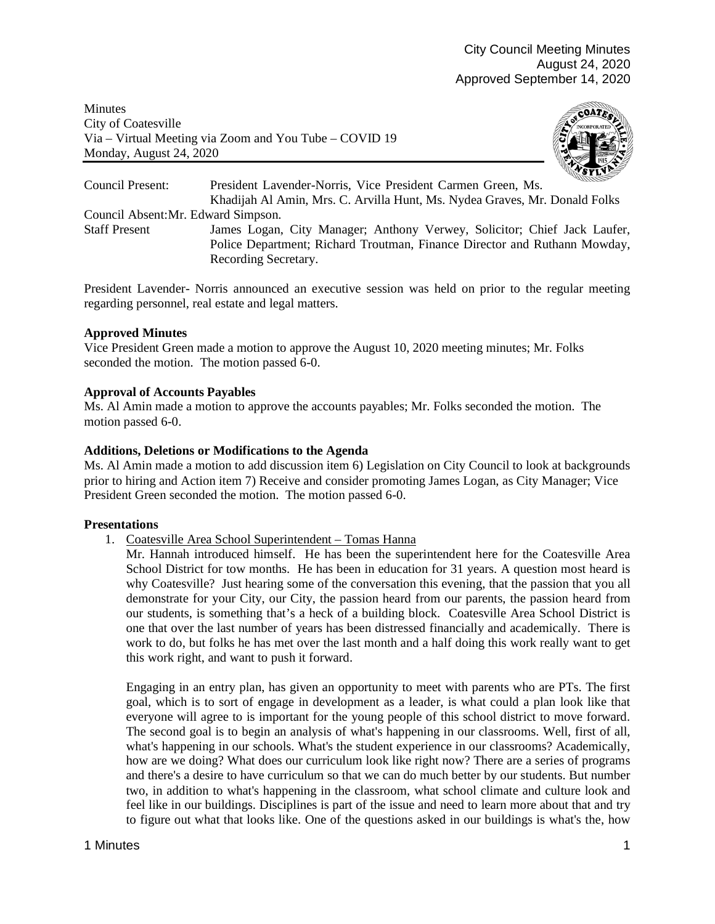**Minutes** City of Coatesville Via – Virtual Meeting via Zoom and You Tube – COVID 19 Monday, August 24, 2020



Council Present: President Lavender-Norris, Vice President Carmen Green, Ms. Khadijah Al Amin, Mrs. C. Arvilla Hunt, Ms. Nydea Graves, Mr. Donald Folks Council Absent:Mr. Edward Simpson. Staff Present James Logan, City Manager; Anthony Verwey, Solicitor; Chief Jack Laufer, Police Department; Richard Troutman, Finance Director and Ruthann Mowday, Recording Secretary.

President Lavender- Norris announced an executive session was held on prior to the regular meeting regarding personnel, real estate and legal matters.

# **Approved Minutes**

Vice President Green made a motion to approve the August 10, 2020 meeting minutes; Mr. Folks seconded the motion. The motion passed 6-0.

# **Approval of Accounts Payables**

Ms. Al Amin made a motion to approve the accounts payables; Mr. Folks seconded the motion. The motion passed 6-0.

# **Additions, Deletions or Modifications to the Agenda**

Ms. Al Amin made a motion to add discussion item 6) Legislation on City Council to look at backgrounds prior to hiring and Action item 7) Receive and consider promoting James Logan, as City Manager; Vice President Green seconded the motion. The motion passed 6-0.

## **Presentations**

1. Coatesville Area School Superintendent – Tomas Hanna

Mr. Hannah introduced himself. He has been the superintendent here for the Coatesville Area School District for tow months. He has been in education for 31 years. A question most heard is why Coatesville? Just hearing some of the conversation this evening, that the passion that you all demonstrate for your City, our City, the passion heard from our parents, the passion heard from our students, is something that's a heck of a building block. Coatesville Area School District is one that over the last number of years has been distressed financially and academically. There is work to do, but folks he has met over the last month and a half doing this work really want to get this work right, and want to push it forward.

Engaging in an entry plan, has given an opportunity to meet with parents who are PTs. The first goal, which is to sort of engage in development as a leader, is what could a plan look like that everyone will agree to is important for the young people of this school district to move forward. The second goal is to begin an analysis of what's happening in our classrooms. Well, first of all, what's happening in our schools. What's the student experience in our classrooms? Academically, how are we doing? What does our curriculum look like right now? There are a series of programs and there's a desire to have curriculum so that we can do much better by our students. But number two, in addition to what's happening in the classroom, what school climate and culture look and feel like in our buildings. Disciplines is part of the issue and need to learn more about that and try to figure out what that looks like. One of the questions asked in our buildings is what's the, how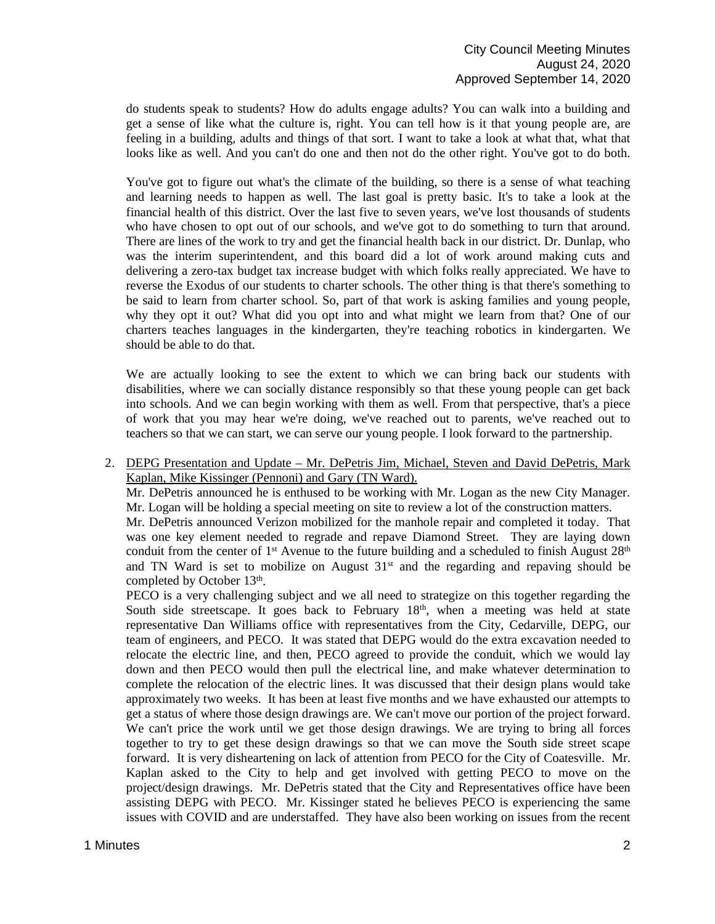do students speak to students? How do adults engage adults? You can walk into a building and get a sense of like what the culture is, right. You can tell how is it that young people are, are feeling in a building, adults and things of that sort. I want to take a look at what that, what that looks like as well. And you can't do one and then not do the other right. You've got to do both.

You've got to figure out what's the climate of the building, so there is a sense of what teaching and learning needs to happen as well. The last goal is pretty basic. It's to take a look at the financial health of this district. Over the last five to seven years, we've lost thousands of students who have chosen to opt out of our schools, and we've got to do something to turn that around. There are lines of the work to try and get the financial health back in our district. Dr. Dunlap, who was the interim superintendent, and this board did a lot of work around making cuts and delivering a zero-tax budget tax increase budget with which folks really appreciated. We have to reverse the Exodus of our students to charter schools. The other thing is that there's something to be said to learn from charter school. So, part of that work is asking families and young people, why they opt it out? What did you opt into and what might we learn from that? One of our charters teaches languages in the kindergarten, they're teaching robotics in kindergarten. We should be able to do that.

We are actually looking to see the extent to which we can bring back our students with disabilities, where we can socially distance responsibly so that these young people can get back into schools. And we can begin working with them as well. From that perspective, that's a piece of work that you may hear we're doing, we've reached out to parents, we've reached out to teachers so that we can start, we can serve our young people. I look forward to the partnership.

2. DEPG Presentation and Update – Mr. DePetris Jim, Michael, Steven and David DePetris, Mark Kaplan, Mike Kissinger (Pennoni) and Gary (TN Ward).

Mr. DePetris announced he is enthused to be working with Mr. Logan as the new City Manager. Mr. Logan will be holding a special meeting on site to review a lot of the construction matters.

Mr. DePetris announced Verizon mobilized for the manhole repair and completed it today. That was one key element needed to regrade and repave Diamond Street. They are laying down conduit from the center of 1<sup>st</sup> Avenue to the future building and a scheduled to finish August  $28<sup>th</sup>$ and TN Ward is set to mobilize on August 31<sup>st</sup> and the regarding and repaving should be completed by October 13<sup>th</sup>.

PECO is a very challenging subject and we all need to strategize on this together regarding the South side streetscape. It goes back to February  $18<sup>th</sup>$ , when a meeting was held at state representative Dan Williams office with representatives from the City, Cedarville, DEPG, our team of engineers, and PECO. It was stated that DEPG would do the extra excavation needed to relocate the electric line, and then, PECO agreed to provide the conduit, which we would lay down and then PECO would then pull the electrical line, and make whatever determination to complete the relocation of the electric lines. It was discussed that their design plans would take approximately two weeks. It has been at least five months and we have exhausted our attempts to get a status of where those design drawings are. We can't move our portion of the project forward. We can't price the work until we get those design drawings. We are trying to bring all forces together to try to get these design drawings so that we can move the South side street scape forward. It is very disheartening on lack of attention from PECO for the City of Coatesville. Mr. Kaplan asked to the City to help and get involved with getting PECO to move on the project/design drawings. Mr. DePetris stated that the City and Representatives office have been assisting DEPG with PECO. Mr. Kissinger stated he believes PECO is experiencing the same issues with COVID and are understaffed. They have also been working on issues from the recent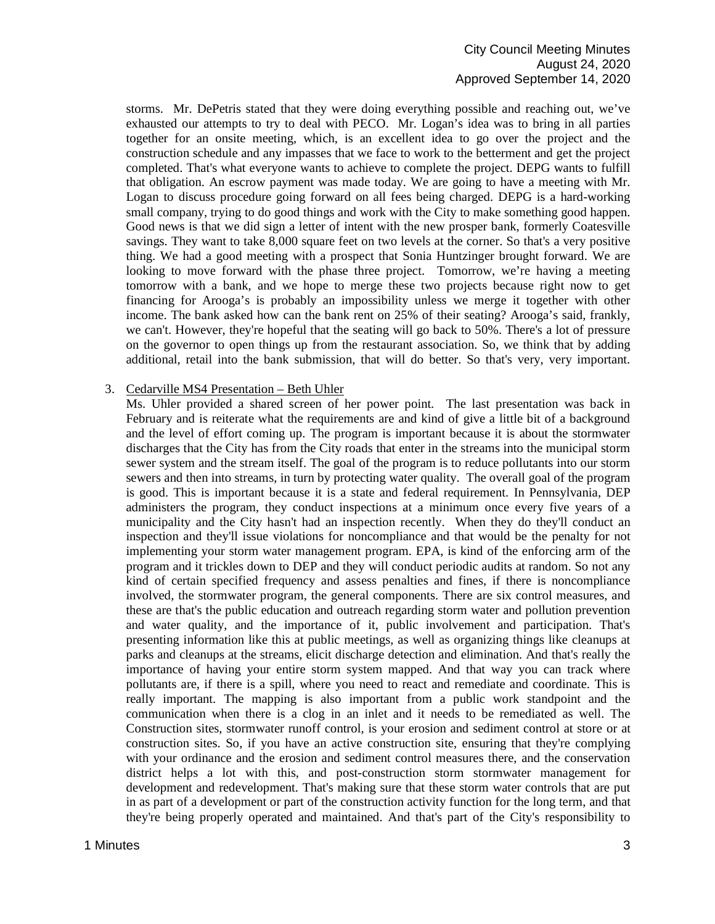storms. Mr. DePetris stated that they were doing everything possible and reaching out, we've exhausted our attempts to try to deal with PECO. Mr. Logan's idea was to bring in all parties together for an onsite meeting, which, is an excellent idea to go over the project and the construction schedule and any impasses that we face to work to the betterment and get the project completed. That's what everyone wants to achieve to complete the project. DEPG wants to fulfill that obligation. An escrow payment was made today. We are going to have a meeting with Mr. Logan to discuss procedure going forward on all fees being charged. DEPG is a hard-working small company, trying to do good things and work with the City to make something good happen. Good news is that we did sign a letter of intent with the new prosper bank, formerly Coatesville savings. They want to take 8,000 square feet on two levels at the corner. So that's a very positive thing. We had a good meeting with a prospect that Sonia Huntzinger brought forward. We are looking to move forward with the phase three project. Tomorrow, we're having a meeting tomorrow with a bank, and we hope to merge these two projects because right now to get financing for Arooga's is probably an impossibility unless we merge it together with other income. The bank asked how can the bank rent on 25% of their seating? Arooga's said, frankly, we can't. However, they're hopeful that the seating will go back to 50%. There's a lot of pressure on the governor to open things up from the restaurant association. So, we think that by adding additional, retail into the bank submission, that will do better. So that's very, very important.

### 3. Cedarville MS4 Presentation – Beth Uhler

Ms. Uhler provided a shared screen of her power point. The last presentation was back in February and is reiterate what the requirements are and kind of give a little bit of a background and the level of effort coming up. The program is important because it is about the stormwater discharges that the City has from the City roads that enter in the streams into the municipal storm sewer system and the stream itself. The goal of the program is to reduce pollutants into our storm sewers and then into streams, in turn by protecting water quality. The overall goal of the program is good. This is important because it is a state and federal requirement. In Pennsylvania, DEP administers the program, they conduct inspections at a minimum once every five years of a municipality and the City hasn't had an inspection recently. When they do they'll conduct an inspection and they'll issue violations for noncompliance and that would be the penalty for not implementing your storm water management program. EPA, is kind of the enforcing arm of the program and it trickles down to DEP and they will conduct periodic audits at random. So not any kind of certain specified frequency and assess penalties and fines, if there is noncompliance involved, the stormwater program, the general components. There are six control measures, and these are that's the public education and outreach regarding storm water and pollution prevention and water quality, and the importance of it, public involvement and participation. That's presenting information like this at public meetings, as well as organizing things like cleanups at parks and cleanups at the streams, elicit discharge detection and elimination. And that's really the importance of having your entire storm system mapped. And that way you can track where pollutants are, if there is a spill, where you need to react and remediate and coordinate. This is really important. The mapping is also important from a public work standpoint and the communication when there is a clog in an inlet and it needs to be remediated as well. The Construction sites, stormwater runoff control, is your erosion and sediment control at store or at construction sites. So, if you have an active construction site, ensuring that they're complying with your ordinance and the erosion and sediment control measures there, and the conservation district helps a lot with this, and post-construction storm stormwater management for development and redevelopment. That's making sure that these storm water controls that are put in as part of a development or part of the construction activity function for the long term, and that they're being properly operated and maintained. And that's part of the City's responsibility to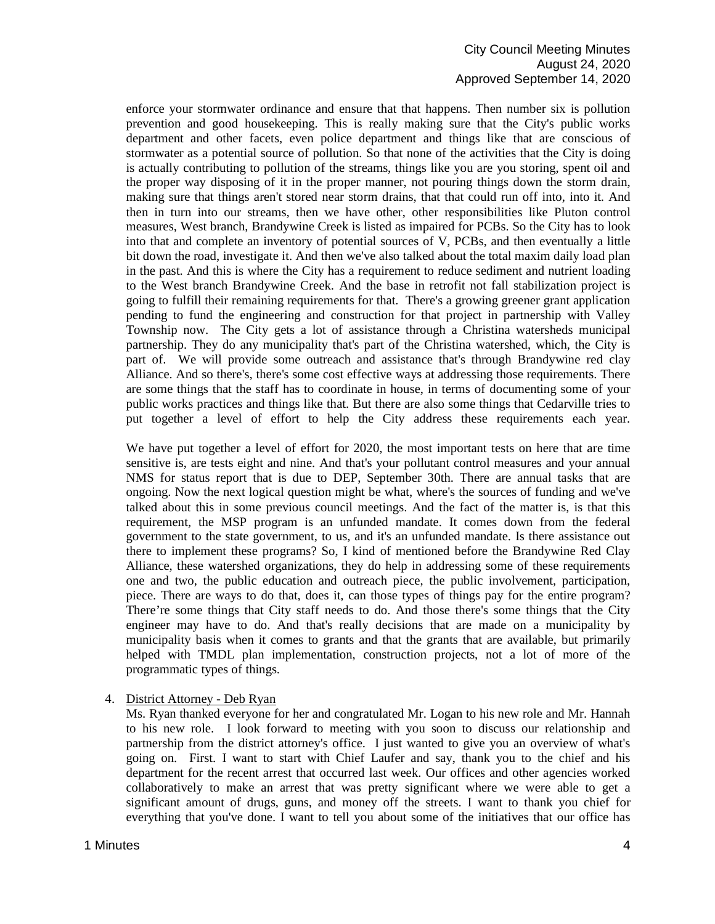## City Council Meeting Minutes August 24, 2020 Approved September 14, 2020

enforce your stormwater ordinance and ensure that that happens. Then number six is pollution prevention and good housekeeping. This is really making sure that the City's public works department and other facets, even police department and things like that are conscious of stormwater as a potential source of pollution. So that none of the activities that the City is doing is actually contributing to pollution of the streams, things like you are you storing, spent oil and the proper way disposing of it in the proper manner, not pouring things down the storm drain, making sure that things aren't stored near storm drains, that that could run off into, into it. And then in turn into our streams, then we have other, other responsibilities like Pluton control measures, West branch, Brandywine Creek is listed as impaired for PCBs. So the City has to look into that and complete an inventory of potential sources of V, PCBs, and then eventually a little bit down the road, investigate it. And then we've also talked about the total maxim daily load plan in the past. And this is where the City has a requirement to reduce sediment and nutrient loading to the West branch Brandywine Creek. And the base in retrofit not fall stabilization project is going to fulfill their remaining requirements for that. There's a growing greener grant application pending to fund the engineering and construction for that project in partnership with Valley Township now. The City gets a lot of assistance through a Christina watersheds municipal partnership. They do any municipality that's part of the Christina watershed, which, the City is part of. We will provide some outreach and assistance that's through Brandywine red clay Alliance. And so there's, there's some cost effective ways at addressing those requirements. There are some things that the staff has to coordinate in house, in terms of documenting some of your public works practices and things like that. But there are also some things that Cedarville tries to put together a level of effort to help the City address these requirements each year.

We have put together a level of effort for 2020, the most important tests on here that are time sensitive is, are tests eight and nine. And that's your pollutant control measures and your annual NMS for status report that is due to DEP, September 30th. There are annual tasks that are ongoing. Now the next logical question might be what, where's the sources of funding and we've talked about this in some previous council meetings. And the fact of the matter is, is that this requirement, the MSP program is an unfunded mandate. It comes down from the federal government to the state government, to us, and it's an unfunded mandate. Is there assistance out there to implement these programs? So, I kind of mentioned before the Brandywine Red Clay Alliance, these watershed organizations, they do help in addressing some of these requirements one and two, the public education and outreach piece, the public involvement, participation, piece. There are ways to do that, does it, can those types of things pay for the entire program? There're some things that City staff needs to do. And those there's some things that the City engineer may have to do. And that's really decisions that are made on a municipality by municipality basis when it comes to grants and that the grants that are available, but primarily helped with TMDL plan implementation, construction projects, not a lot of more of the programmatic types of things.

## 4. District Attorney - Deb Ryan

Ms. Ryan thanked everyone for her and congratulated Mr. Logan to his new role and Mr. Hannah to his new role. I look forward to meeting with you soon to discuss our relationship and partnership from the district attorney's office. I just wanted to give you an overview of what's going on. First. I want to start with Chief Laufer and say, thank you to the chief and his department for the recent arrest that occurred last week. Our offices and other agencies worked collaboratively to make an arrest that was pretty significant where we were able to get a significant amount of drugs, guns, and money off the streets. I want to thank you chief for everything that you've done. I want to tell you about some of the initiatives that our office has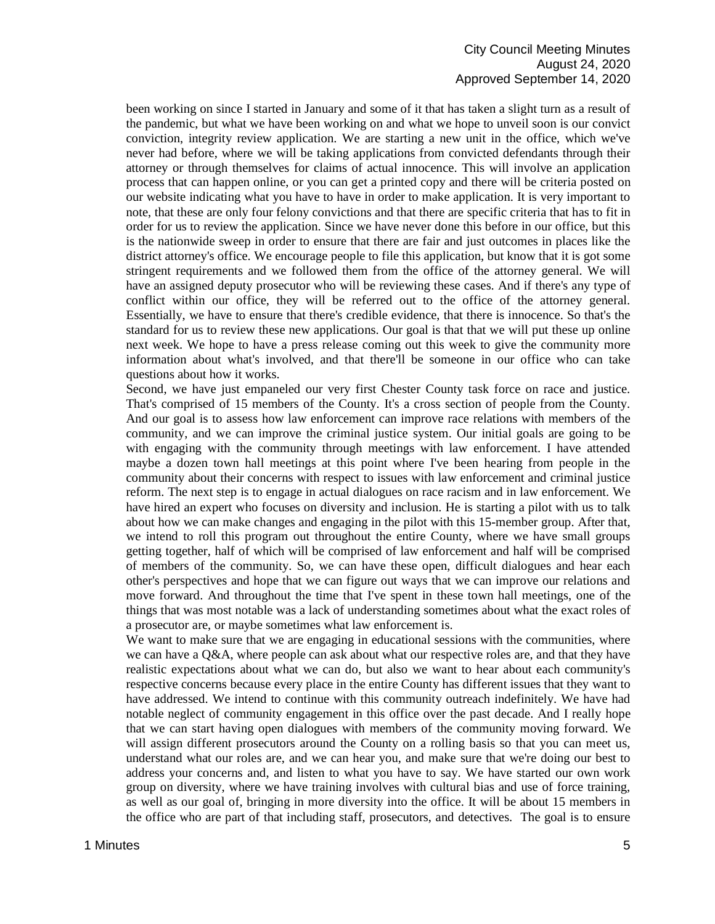### City Council Meeting Minutes August 24, 2020 Approved September 14, 2020

been working on since I started in January and some of it that has taken a slight turn as a result of the pandemic, but what we have been working on and what we hope to unveil soon is our convict conviction, integrity review application. We are starting a new unit in the office, which we've never had before, where we will be taking applications from convicted defendants through their attorney or through themselves for claims of actual innocence. This will involve an application process that can happen online, or you can get a printed copy and there will be criteria posted on our website indicating what you have to have in order to make application. It is very important to note, that these are only four felony convictions and that there are specific criteria that has to fit in order for us to review the application. Since we have never done this before in our office, but this is the nationwide sweep in order to ensure that there are fair and just outcomes in places like the district attorney's office. We encourage people to file this application, but know that it is got some stringent requirements and we followed them from the office of the attorney general. We will have an assigned deputy prosecutor who will be reviewing these cases. And if there's any type of conflict within our office, they will be referred out to the office of the attorney general. Essentially, we have to ensure that there's credible evidence, that there is innocence. So that's the standard for us to review these new applications. Our goal is that that we will put these up online next week. We hope to have a press release coming out this week to give the community more information about what's involved, and that there'll be someone in our office who can take questions about how it works.

Second, we have just empaneled our very first Chester County task force on race and justice. That's comprised of 15 members of the County. It's a cross section of people from the County. And our goal is to assess how law enforcement can improve race relations with members of the community, and we can improve the criminal justice system. Our initial goals are going to be with engaging with the community through meetings with law enforcement. I have attended maybe a dozen town hall meetings at this point where I've been hearing from people in the community about their concerns with respect to issues with law enforcement and criminal justice reform. The next step is to engage in actual dialogues on race racism and in law enforcement. We have hired an expert who focuses on diversity and inclusion. He is starting a pilot with us to talk about how we can make changes and engaging in the pilot with this 15-member group. After that, we intend to roll this program out throughout the entire County, where we have small groups getting together, half of which will be comprised of law enforcement and half will be comprised of members of the community. So, we can have these open, difficult dialogues and hear each other's perspectives and hope that we can figure out ways that we can improve our relations and move forward. And throughout the time that I've spent in these town hall meetings, one of the things that was most notable was a lack of understanding sometimes about what the exact roles of a prosecutor are, or maybe sometimes what law enforcement is.

We want to make sure that we are engaging in educational sessions with the communities, where we can have a Q&A, where people can ask about what our respective roles are, and that they have realistic expectations about what we can do, but also we want to hear about each community's respective concerns because every place in the entire County has different issues that they want to have addressed. We intend to continue with this community outreach indefinitely. We have had notable neglect of community engagement in this office over the past decade. And I really hope that we can start having open dialogues with members of the community moving forward. We will assign different prosecutors around the County on a rolling basis so that you can meet us, understand what our roles are, and we can hear you, and make sure that we're doing our best to address your concerns and, and listen to what you have to say. We have started our own work group on diversity, where we have training involves with cultural bias and use of force training, as well as our goal of, bringing in more diversity into the office. It will be about 15 members in the office who are part of that including staff, prosecutors, and detectives. The goal is to ensure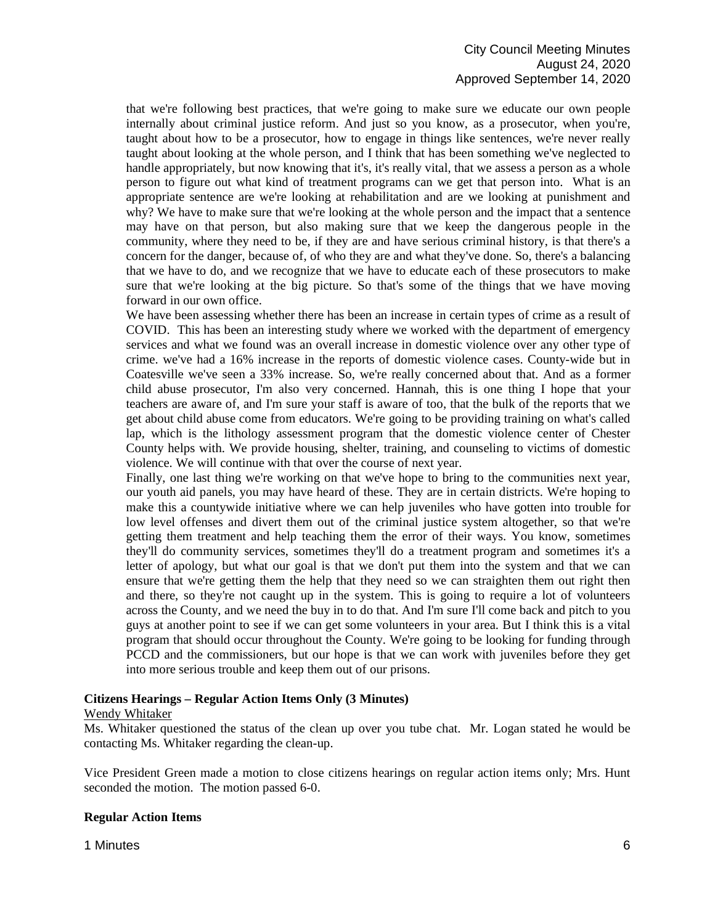that we're following best practices, that we're going to make sure we educate our own people internally about criminal justice reform. And just so you know, as a prosecutor, when you're, taught about how to be a prosecutor, how to engage in things like sentences, we're never really taught about looking at the whole person, and I think that has been something we've neglected to handle appropriately, but now knowing that it's, it's really vital, that we assess a person as a whole person to figure out what kind of treatment programs can we get that person into. What is an appropriate sentence are we're looking at rehabilitation and are we looking at punishment and why? We have to make sure that we're looking at the whole person and the impact that a sentence may have on that person, but also making sure that we keep the dangerous people in the community, where they need to be, if they are and have serious criminal history, is that there's a concern for the danger, because of, of who they are and what they've done. So, there's a balancing that we have to do, and we recognize that we have to educate each of these prosecutors to make sure that we're looking at the big picture. So that's some of the things that we have moving forward in our own office.

We have been assessing whether there has been an increase in certain types of crime as a result of COVID. This has been an interesting study where we worked with the department of emergency services and what we found was an overall increase in domestic violence over any other type of crime. we've had a 16% increase in the reports of domestic violence cases. County-wide but in Coatesville we've seen a 33% increase. So, we're really concerned about that. And as a former child abuse prosecutor, I'm also very concerned. Hannah, this is one thing I hope that your teachers are aware of, and I'm sure your staff is aware of too, that the bulk of the reports that we get about child abuse come from educators. We're going to be providing training on what's called lap, which is the lithology assessment program that the domestic violence center of Chester County helps with. We provide housing, shelter, training, and counseling to victims of domestic violence. We will continue with that over the course of next year.

Finally, one last thing we're working on that we've hope to bring to the communities next year, our youth aid panels, you may have heard of these. They are in certain districts. We're hoping to make this a countywide initiative where we can help juveniles who have gotten into trouble for low level offenses and divert them out of the criminal justice system altogether, so that we're getting them treatment and help teaching them the error of their ways. You know, sometimes they'll do community services, sometimes they'll do a treatment program and sometimes it's a letter of apology, but what our goal is that we don't put them into the system and that we can ensure that we're getting them the help that they need so we can straighten them out right then and there, so they're not caught up in the system. This is going to require a lot of volunteers across the County, and we need the buy in to do that. And I'm sure I'll come back and pitch to you guys at another point to see if we can get some volunteers in your area. But I think this is a vital program that should occur throughout the County. We're going to be looking for funding through PCCD and the commissioners, but our hope is that we can work with juveniles before they get into more serious trouble and keep them out of our prisons.

#### **Citizens Hearings – Regular Action Items Only (3 Minutes)**

#### Wendy Whitaker

Ms. Whitaker questioned the status of the clean up over you tube chat. Mr. Logan stated he would be contacting Ms. Whitaker regarding the clean-up.

Vice President Green made a motion to close citizens hearings on regular action items only; Mrs. Hunt seconded the motion. The motion passed 6-0.

#### **Regular Action Items**

1 Minutes 6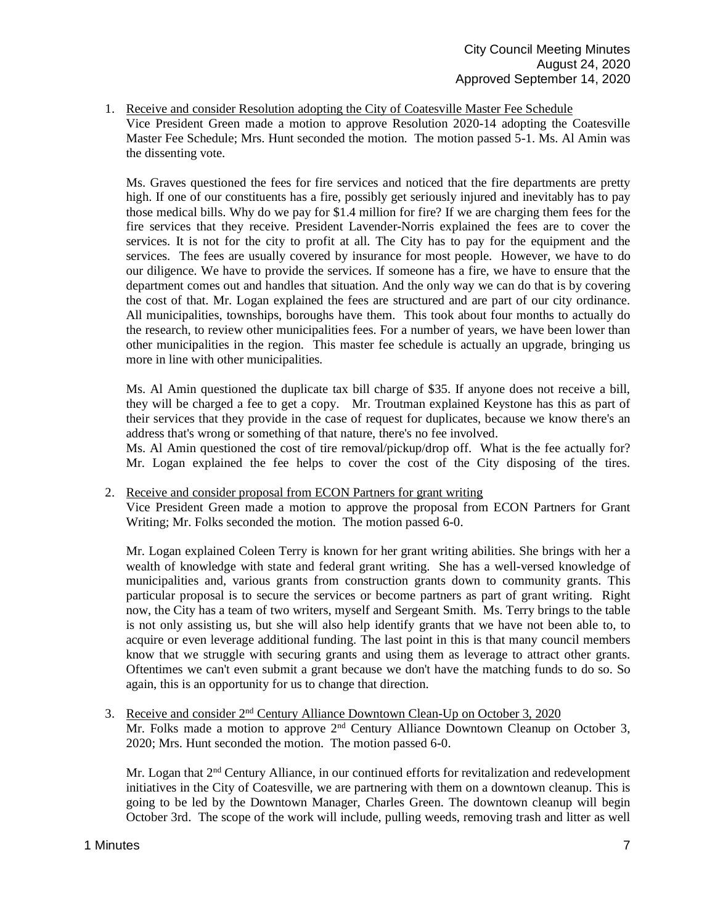1. Receive and consider Resolution adopting the City of Coatesville Master Fee Schedule Vice President Green made a motion to approve Resolution 2020-14 adopting the Coatesville Master Fee Schedule; Mrs. Hunt seconded the motion. The motion passed 5-1. Ms. Al Amin was the dissenting vote.

Ms. Graves questioned the fees for fire services and noticed that the fire departments are pretty high. If one of our constituents has a fire, possibly get seriously injured and inevitably has to pay those medical bills. Why do we pay for \$1.4 million for fire? If we are charging them fees for the fire services that they receive. President Lavender-Norris explained the fees are to cover the services. It is not for the city to profit at all. The City has to pay for the equipment and the services. The fees are usually covered by insurance for most people. However, we have to do our diligence. We have to provide the services. If someone has a fire, we have to ensure that the department comes out and handles that situation. And the only way we can do that is by covering the cost of that. Mr. Logan explained the fees are structured and are part of our city ordinance. All municipalities, townships, boroughs have them. This took about four months to actually do the research, to review other municipalities fees. For a number of years, we have been lower than other municipalities in the region. This master fee schedule is actually an upgrade, bringing us more in line with other municipalities.

Ms. Al Amin questioned the duplicate tax bill charge of \$35. If anyone does not receive a bill, they will be charged a fee to get a copy. Mr. Troutman explained Keystone has this as part of their services that they provide in the case of request for duplicates, because we know there's an address that's wrong or something of that nature, there's no fee involved.

Ms. Al Amin questioned the cost of tire removal/pickup/drop off. What is the fee actually for? Mr. Logan explained the fee helps to cover the cost of the City disposing of the tires.

#### 2. Receive and consider proposal from ECON Partners for grant writing

Vice President Green made a motion to approve the proposal from ECON Partners for Grant Writing; Mr. Folks seconded the motion. The motion passed 6-0.

Mr. Logan explained Coleen Terry is known for her grant writing abilities. She brings with her a wealth of knowledge with state and federal grant writing. She has a well-versed knowledge of municipalities and, various grants from construction grants down to community grants. This particular proposal is to secure the services or become partners as part of grant writing. Right now, the City has a team of two writers, myself and Sergeant Smith. Ms. Terry brings to the table is not only assisting us, but she will also help identify grants that we have not been able to, to acquire or even leverage additional funding. The last point in this is that many council members know that we struggle with securing grants and using them as leverage to attract other grants. Oftentimes we can't even submit a grant because we don't have the matching funds to do so. So again, this is an opportunity for us to change that direction.

3. Receive and consider 2nd Century Alliance Downtown Clean-Up on October 3, 2020 Mr. Folks made a motion to approve  $2<sup>nd</sup>$  Century Alliance Downtown Cleanup on October 3, 2020; Mrs. Hunt seconded the motion. The motion passed 6-0.

Mr. Logan that  $2<sup>nd</sup>$  Century Alliance, in our continued efforts for revitalization and redevelopment initiatives in the City of Coatesville, we are partnering with them on a downtown cleanup. This is going to be led by the Downtown Manager, Charles Green. The downtown cleanup will begin October 3rd. The scope of the work will include, pulling weeds, removing trash and litter as well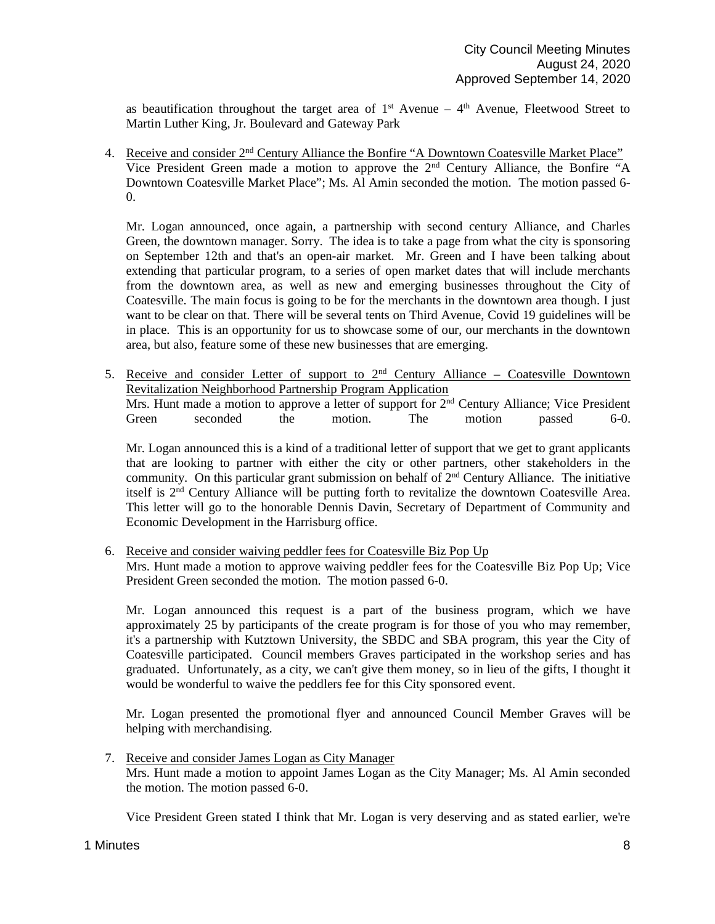as beautification throughout the target area of  $1<sup>st</sup>$  Avenue – 4<sup>th</sup> Avenue, Fleetwood Street to Martin Luther King, Jr. Boulevard and Gateway Park

4. Receive and consider  $2<sup>nd</sup>$  Century Alliance the Bonfire "A Downtown Coatesville Market Place" Vice President Green made a motion to approve the 2nd Century Alliance, the Bonfire "A Downtown Coatesville Market Place"; Ms. Al Amin seconded the motion. The motion passed 6- 0.

Mr. Logan announced, once again, a partnership with second century Alliance, and Charles Green, the downtown manager. Sorry. The idea is to take a page from what the city is sponsoring on September 12th and that's an open-air market. Mr. Green and I have been talking about extending that particular program, to a series of open market dates that will include merchants from the downtown area, as well as new and emerging businesses throughout the City of Coatesville. The main focus is going to be for the merchants in the downtown area though. I just want to be clear on that. There will be several tents on Third Avenue, Covid 19 guidelines will be in place. This is an opportunity for us to showcase some of our, our merchants in the downtown area, but also, feature some of these new businesses that are emerging.

5. Receive and consider Letter of support to  $2<sup>nd</sup>$  Century Alliance – Coatesville Downtown Revitalization Neighborhood Partnership Program Application Mrs. Hunt made a motion to approve a letter of support for  $2<sup>nd</sup>$  Century Alliance; Vice President Green seconded the motion. The motion passed 6-0.

Mr. Logan announced this is a kind of a traditional letter of support that we get to grant applicants that are looking to partner with either the city or other partners, other stakeholders in the community. On this particular grant submission on behalf of 2nd Century Alliance. The initiative itself is 2nd Century Alliance will be putting forth to revitalize the downtown Coatesville Area. This letter will go to the honorable Dennis Davin, Secretary of Department of Community and Economic Development in the Harrisburg office.

6. Receive and consider waiving peddler fees for Coatesville Biz Pop Up Mrs. Hunt made a motion to approve waiving peddler fees for the Coatesville Biz Pop Up; Vice President Green seconded the motion. The motion passed 6-0.

Mr. Logan announced this request is a part of the business program, which we have approximately 25 by participants of the create program is for those of you who may remember, it's a partnership with Kutztown University, the SBDC and SBA program, this year the City of Coatesville participated. Council members Graves participated in the workshop series and has graduated. Unfortunately, as a city, we can't give them money, so in lieu of the gifts, I thought it would be wonderful to waive the peddlers fee for this City sponsored event.

Mr. Logan presented the promotional flyer and announced Council Member Graves will be helping with merchandising.

7. Receive and consider James Logan as City Manager Mrs. Hunt made a motion to appoint James Logan as the City Manager; Ms. Al Amin seconded the motion. The motion passed 6-0.

Vice President Green stated I think that Mr. Logan is very deserving and as stated earlier, we're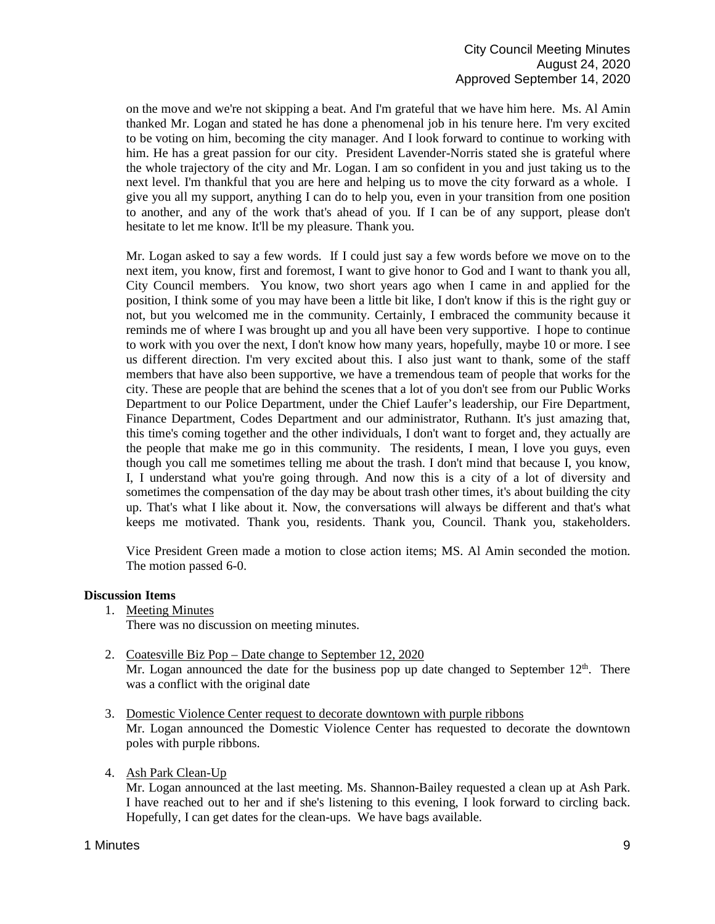on the move and we're not skipping a beat. And I'm grateful that we have him here. Ms. Al Amin thanked Mr. Logan and stated he has done a phenomenal job in his tenure here. I'm very excited to be voting on him, becoming the city manager. And I look forward to continue to working with him. He has a great passion for our city. President Lavender-Norris stated she is grateful where the whole trajectory of the city and Mr. Logan. I am so confident in you and just taking us to the next level. I'm thankful that you are here and helping us to move the city forward as a whole. I give you all my support, anything I can do to help you, even in your transition from one position to another, and any of the work that's ahead of you. If I can be of any support, please don't hesitate to let me know. It'll be my pleasure. Thank you.

Mr. Logan asked to say a few words. If I could just say a few words before we move on to the next item, you know, first and foremost, I want to give honor to God and I want to thank you all, City Council members. You know, two short years ago when I came in and applied for the position, I think some of you may have been a little bit like, I don't know if this is the right guy or not, but you welcomed me in the community. Certainly, I embraced the community because it reminds me of where I was brought up and you all have been very supportive. I hope to continue to work with you over the next, I don't know how many years, hopefully, maybe 10 or more. I see us different direction. I'm very excited about this. I also just want to thank, some of the staff members that have also been supportive, we have a tremendous team of people that works for the city. These are people that are behind the scenes that a lot of you don't see from our Public Works Department to our Police Department, under the Chief Laufer's leadership, our Fire Department, Finance Department, Codes Department and our administrator, Ruthann. It's just amazing that, this time's coming together and the other individuals, I don't want to forget and, they actually are the people that make me go in this community. The residents, I mean, I love you guys, even though you call me sometimes telling me about the trash. I don't mind that because I, you know, I, I understand what you're going through. And now this is a city of a lot of diversity and sometimes the compensation of the day may be about trash other times, it's about building the city up. That's what I like about it. Now, the conversations will always be different and that's what keeps me motivated. Thank you, residents. Thank you, Council. Thank you, stakeholders.

Vice President Green made a motion to close action items; MS. Al Amin seconded the motion. The motion passed 6-0.

## **Discussion Items**

- 1. Meeting Minutes
	- There was no discussion on meeting minutes.
- 2. Coatesville Biz Pop Date change to September 12, 2020 Mr. Logan announced the date for the business pop up date changed to September  $12<sup>th</sup>$ . There was a conflict with the original date
- 3. Domestic Violence Center request to decorate downtown with purple ribbons Mr. Logan announced the Domestic Violence Center has requested to decorate the downtown poles with purple ribbons.
- 4. Ash Park Clean-Up

Mr. Logan announced at the last meeting. Ms. Shannon-Bailey requested a clean up at Ash Park. I have reached out to her and if she's listening to this evening, I look forward to circling back. Hopefully, I can get dates for the clean-ups. We have bags available.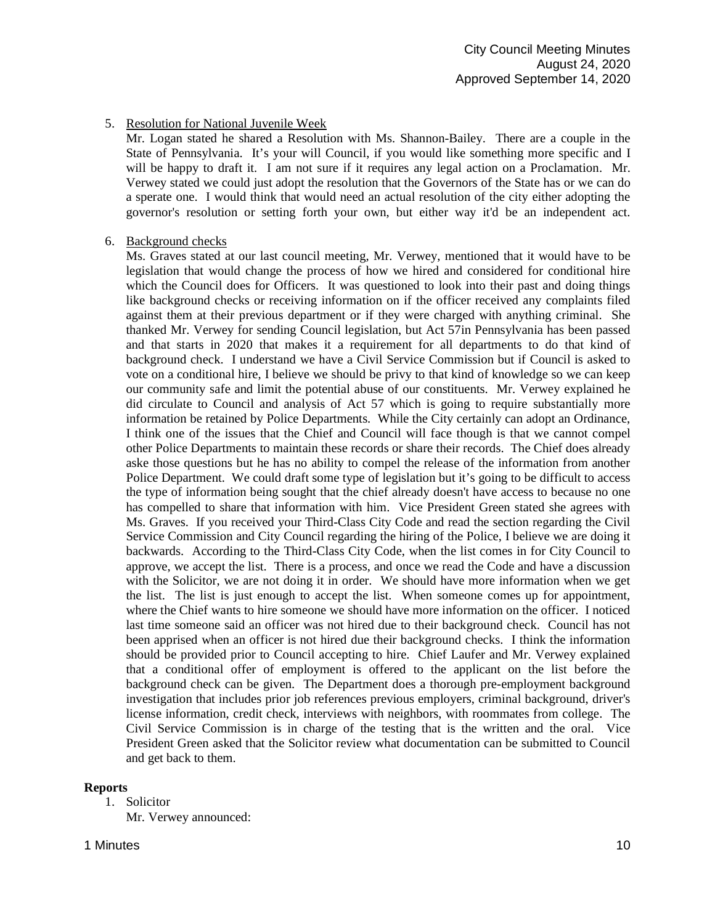# 5. Resolution for National Juvenile Week

Mr. Logan stated he shared a Resolution with Ms. Shannon-Bailey. There are a couple in the State of Pennsylvania. It's your will Council, if you would like something more specific and I will be happy to draft it. I am not sure if it requires any legal action on a Proclamation. Mr. Verwey stated we could just adopt the resolution that the Governors of the State has or we can do a sperate one. I would think that would need an actual resolution of the city either adopting the governor's resolution or setting forth your own, but either way it'd be an independent act.

### 6. Background checks

Ms. Graves stated at our last council meeting, Mr. Verwey, mentioned that it would have to be legislation that would change the process of how we hired and considered for conditional hire which the Council does for Officers. It was questioned to look into their past and doing things like background checks or receiving information on if the officer received any complaints filed against them at their previous department or if they were charged with anything criminal. She thanked Mr. Verwey for sending Council legislation, but Act 57in Pennsylvania has been passed and that starts in 2020 that makes it a requirement for all departments to do that kind of background check. I understand we have a Civil Service Commission but if Council is asked to vote on a conditional hire, I believe we should be privy to that kind of knowledge so we can keep our community safe and limit the potential abuse of our constituents. Mr. Verwey explained he did circulate to Council and analysis of Act 57 which is going to require substantially more information be retained by Police Departments. While the City certainly can adopt an Ordinance, I think one of the issues that the Chief and Council will face though is that we cannot compel other Police Departments to maintain these records or share their records. The Chief does already aske those questions but he has no ability to compel the release of the information from another Police Department. We could draft some type of legislation but it's going to be difficult to access the type of information being sought that the chief already doesn't have access to because no one has compelled to share that information with him. Vice President Green stated she agrees with Ms. Graves. If you received your Third-Class City Code and read the section regarding the Civil Service Commission and City Council regarding the hiring of the Police, I believe we are doing it backwards. According to the Third-Class City Code, when the list comes in for City Council to approve, we accept the list. There is a process, and once we read the Code and have a discussion with the Solicitor, we are not doing it in order. We should have more information when we get the list. The list is just enough to accept the list. When someone comes up for appointment, where the Chief wants to hire someone we should have more information on the officer. I noticed last time someone said an officer was not hired due to their background check. Council has not been apprised when an officer is not hired due their background checks. I think the information should be provided prior to Council accepting to hire. Chief Laufer and Mr. Verwey explained that a conditional offer of employment is offered to the applicant on the list before the background check can be given. The Department does a thorough pre-employment background investigation that includes prior job references previous employers, criminal background, driver's license information, credit check, interviews with neighbors, with roommates from college. The Civil Service Commission is in charge of the testing that is the written and the oral. Vice President Green asked that the Solicitor review what documentation can be submitted to Council and get back to them.

#### **Reports**

1. Solicitor

Mr. Verwey announced:

# 1 Minutes **10**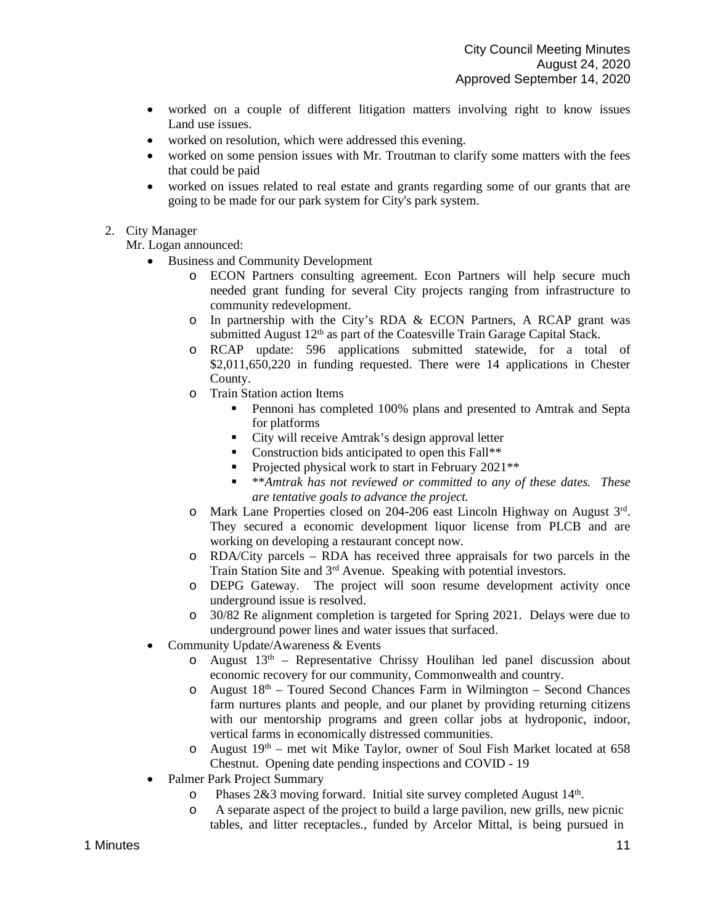- worked on a couple of different litigation matters involving right to know issues Land use issues.
- worked on resolution, which were addressed this evening.
- worked on some pension issues with Mr. Troutman to clarify some matters with the fees that could be paid
- worked on issues related to real estate and grants regarding some of our grants that are going to be made for our park system for City's park system.

# 2. City Manager

Mr. Logan announced:

- Business and Community Development
	- o ECON Partners consulting agreement. Econ Partners will help secure much needed grant funding for several City projects ranging from infrastructure to community redevelopment.
	- $\circ$  In partnership with the City's RDA & ECON Partners, A RCAP grant was submitted August 12<sup>th</sup> as part of the Coatesville Train Garage Capital Stack.
	- o RCAP update: 596 applications submitted statewide, for a total of \$2,011,650,220 in funding requested. There were 14 applications in Chester County.
	- o Train Station action Items
		- **Pennoni has completed 100% plans and presented to Amtrak and Septa** for platforms
		- City will receive Amtrak's design approval letter
		- Construction bids anticipated to open this Fall<sup>\*\*</sup>
		- Projected physical work to start in February 2021\*\*
		- \*\**Amtrak has not reviewed or committed to any of these dates. These are tentative goals to advance the project.*
	- o Mark Lane Properties closed on 204-206 east Lincoln Highway on August 3rd. They secured a economic development liquor license from PLCB and are working on developing a restaurant concept now.
	- o RDA/City parcels RDA has received three appraisals for two parcels in the Train Station Site and 3rd Avenue. Speaking with potential investors.
	- o DEPG Gateway. The project will soon resume development activity once underground issue is resolved.
	- o 30/82 Re alignment completion is targeted for Spring 2021. Delays were due to underground power lines and water issues that surfaced.
- Community Update/Awareness & Events
	- $\circ$  August 13<sup>th</sup> Representative Chrissy Houlihan led panel discussion about economic recovery for our community, Commonwealth and country.
	- $\circ$  August  $18<sup>th</sup>$  Toured Second Chances Farm in Wilmington Second Chances farm nurtures plants and people, and our planet by providing returning citizens with our mentorship programs and green collar jobs at hydroponic, indoor, vertical farms in economically distressed communities.
	- o August 19th met wit Mike Taylor, owner of Soul Fish Market located at 658 Chestnut. Opening date pending inspections and COVID - 19
- Palmer Park Project Summary
	- o Phases 2&3 moving forward. Initial site survey completed August 14th.
	- o A separate aspect of the project to build a large pavilion, new grills, new picnic tables, and litter receptacles., funded by Arcelor Mittal, is being pursued in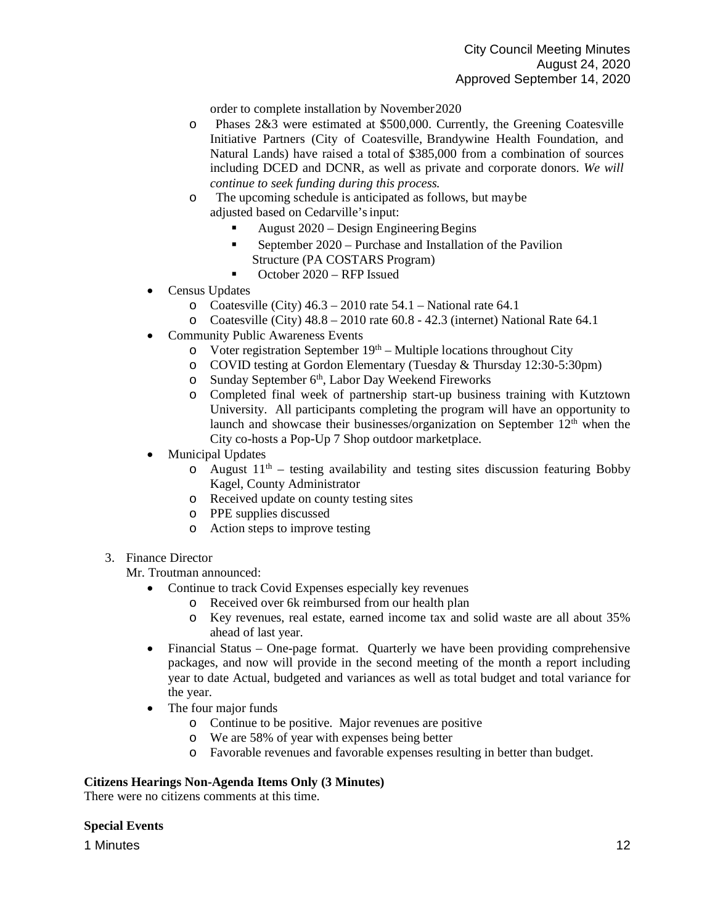order to complete installation by November2020

- o Phases 2&3 were estimated at \$500,000. Currently, the Greening Coatesville Initiative Partners (City of Coatesville, Brandywine Health Foundation, and Natural Lands) have raised a total of \$385,000 from a combination of sources including DCED and DCNR, as well as private and corporate donors. *We will continue to seek funding during this process.*
- o The upcoming schedule is anticipated as follows, but maybe adjusted based on Cedarville'sinput:
	- August 2020 Design EngineeringBegins
	- September  $2020$  Purchase and Installation of the Pavilion Structure (PA COSTARS Program)
	- October 2020 RFP Issued
- Census Updates
	- o Coatesville (City)  $46.3 2010$  rate  $54.1$  National rate  $64.1$
	- o Coatesville (City) 48.8 2010 rate 60.8 42.3 (internet) National Rate 64.1
- Community Public Awareness Events
	- $\circ$  Voter registration September 19<sup>th</sup> Multiple locations throughout City
	- o COVID testing at Gordon Elementary (Tuesday & Thursday 12:30-5:30pm)
	- o Sunday September 6<sup>th</sup>, Labor Day Weekend Fireworks
	- o Completed final week of partnership start-up business training with Kutztown University. All participants completing the program will have an opportunity to launch and showcase their businesses/organization on September 12<sup>th</sup> when the City co-hosts a Pop-Up 7 Shop outdoor marketplace.
- Municipal Updates
	- $\circ$  August 11<sup>th</sup> testing availability and testing sites discussion featuring Bobby Kagel, County Administrator
	- o Received update on county testing sites
	- o PPE supplies discussed
	- o Action steps to improve testing

## 3. Finance Director

Mr. Troutman announced:

- Continue to track Covid Expenses especially key revenues
	- o Received over 6k reimbursed from our health plan
	- o Key revenues, real estate, earned income tax and solid waste are all about 35% ahead of last year.
- Financial Status One-page format. Quarterly we have been providing comprehensive packages, and now will provide in the second meeting of the month a report including year to date Actual, budgeted and variances as well as total budget and total variance for the year.
- The four major funds
	- o Continue to be positive. Major revenues are positive
	- o We are 58% of year with expenses being better
	- o Favorable revenues and favorable expenses resulting in better than budget.

## **Citizens Hearings Non-Agenda Items Only (3 Minutes)**

There were no citizens comments at this time.

## **Special Events**

1 Minutes **12**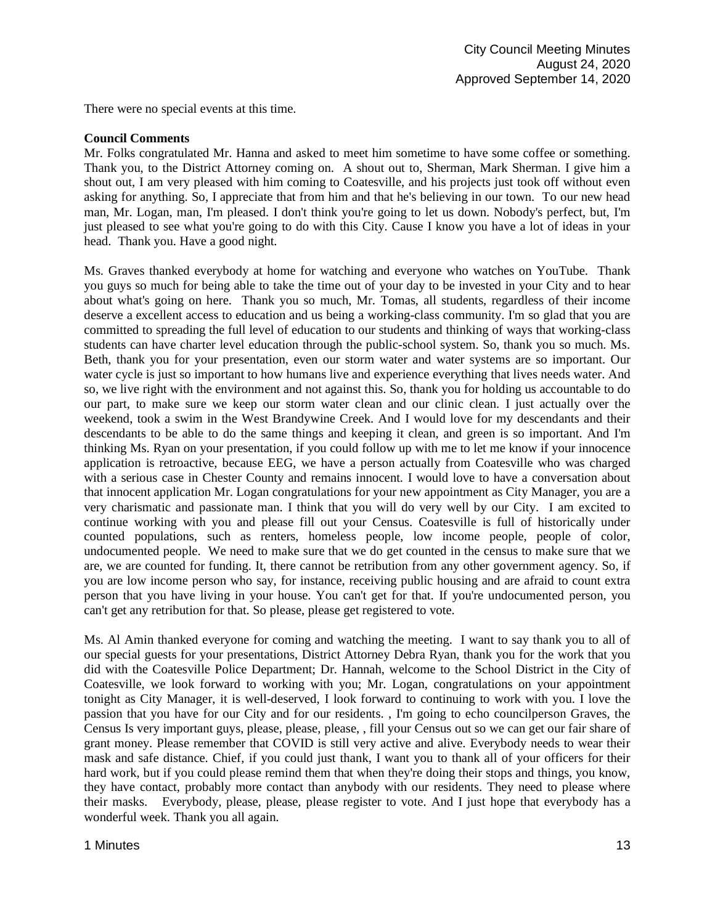There were no special events at this time.

#### **Council Comments**

Mr. Folks congratulated Mr. Hanna and asked to meet him sometime to have some coffee or something. Thank you, to the District Attorney coming on. A shout out to, Sherman, Mark Sherman. I give him a shout out, I am very pleased with him coming to Coatesville, and his projects just took off without even asking for anything. So, I appreciate that from him and that he's believing in our town. To our new head man, Mr. Logan, man, I'm pleased. I don't think you're going to let us down. Nobody's perfect, but, I'm just pleased to see what you're going to do with this City. Cause I know you have a lot of ideas in your head. Thank you. Have a good night.

Ms. Graves thanked everybody at home for watching and everyone who watches on YouTube. Thank you guys so much for being able to take the time out of your day to be invested in your City and to hear about what's going on here. Thank you so much, Mr. Tomas, all students, regardless of their income deserve a excellent access to education and us being a working-class community. I'm so glad that you are committed to spreading the full level of education to our students and thinking of ways that working-class students can have charter level education through the public-school system. So, thank you so much. Ms. Beth, thank you for your presentation, even our storm water and water systems are so important. Our water cycle is just so important to how humans live and experience everything that lives needs water. And so, we live right with the environment and not against this. So, thank you for holding us accountable to do our part, to make sure we keep our storm water clean and our clinic clean. I just actually over the weekend, took a swim in the West Brandywine Creek. And I would love for my descendants and their descendants to be able to do the same things and keeping it clean, and green is so important. And I'm thinking Ms. Ryan on your presentation, if you could follow up with me to let me know if your innocence application is retroactive, because EEG, we have a person actually from Coatesville who was charged with a serious case in Chester County and remains innocent. I would love to have a conversation about that innocent application Mr. Logan congratulations for your new appointment as City Manager, you are a very charismatic and passionate man. I think that you will do very well by our City. I am excited to continue working with you and please fill out your Census. Coatesville is full of historically under counted populations, such as renters, homeless people, low income people, people of color, undocumented people. We need to make sure that we do get counted in the census to make sure that we are, we are counted for funding. It, there cannot be retribution from any other government agency. So, if you are low income person who say, for instance, receiving public housing and are afraid to count extra person that you have living in your house. You can't get for that. If you're undocumented person, you can't get any retribution for that. So please, please get registered to vote.

Ms. Al Amin thanked everyone for coming and watching the meeting. I want to say thank you to all of our special guests for your presentations, District Attorney Debra Ryan, thank you for the work that you did with the Coatesville Police Department; Dr. Hannah, welcome to the School District in the City of Coatesville, we look forward to working with you; Mr. Logan, congratulations on your appointment tonight as City Manager, it is well-deserved, I look forward to continuing to work with you. I love the passion that you have for our City and for our residents. , I'm going to echo councilperson Graves, the Census Is very important guys, please, please, please, , fill your Census out so we can get our fair share of grant money. Please remember that COVID is still very active and alive. Everybody needs to wear their mask and safe distance. Chief, if you could just thank, I want you to thank all of your officers for their hard work, but if you could please remind them that when they're doing their stops and things, you know, they have contact, probably more contact than anybody with our residents. They need to please where their masks. Everybody, please, please, please register to vote. And I just hope that everybody has a wonderful week. Thank you all again.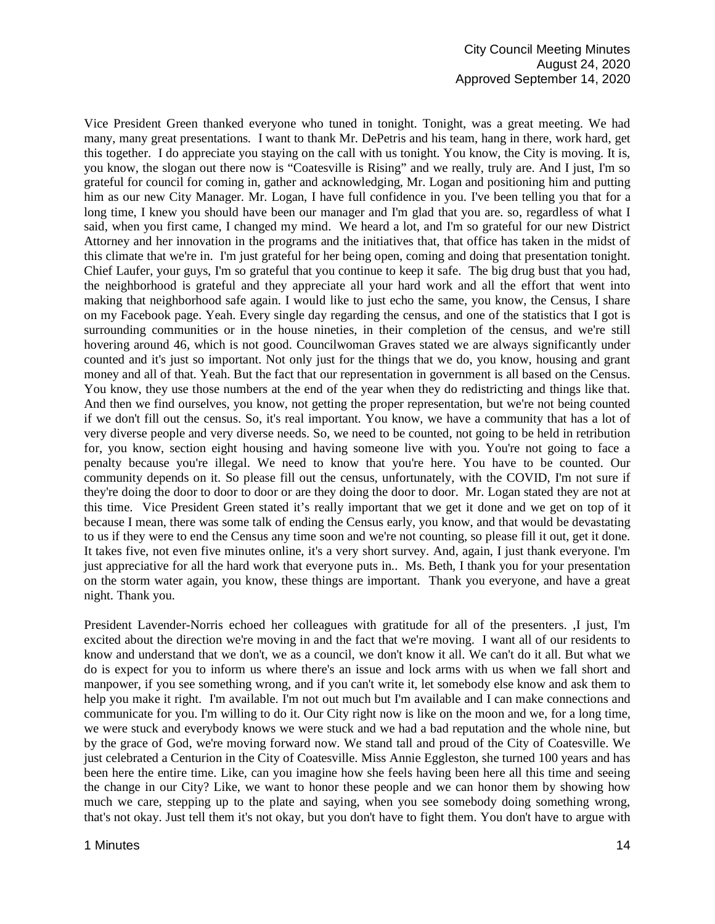Vice President Green thanked everyone who tuned in tonight. Tonight, was a great meeting. We had many, many great presentations. I want to thank Mr. DePetris and his team, hang in there, work hard, get this together. I do appreciate you staying on the call with us tonight. You know, the City is moving. It is, you know, the slogan out there now is "Coatesville is Rising" and we really, truly are. And I just, I'm so grateful for council for coming in, gather and acknowledging, Mr. Logan and positioning him and putting him as our new City Manager. Mr. Logan, I have full confidence in you. I've been telling you that for a long time, I knew you should have been our manager and I'm glad that you are. so, regardless of what I said, when you first came, I changed my mind. We heard a lot, and I'm so grateful for our new District Attorney and her innovation in the programs and the initiatives that, that office has taken in the midst of this climate that we're in. I'm just grateful for her being open, coming and doing that presentation tonight. Chief Laufer, your guys, I'm so grateful that you continue to keep it safe. The big drug bust that you had, the neighborhood is grateful and they appreciate all your hard work and all the effort that went into making that neighborhood safe again. I would like to just echo the same, you know, the Census, I share on my Facebook page. Yeah. Every single day regarding the census, and one of the statistics that I got is surrounding communities or in the house nineties, in their completion of the census, and we're still hovering around 46, which is not good. Councilwoman Graves stated we are always significantly under counted and it's just so important. Not only just for the things that we do, you know, housing and grant money and all of that. Yeah. But the fact that our representation in government is all based on the Census. You know, they use those numbers at the end of the year when they do redistricting and things like that. And then we find ourselves, you know, not getting the proper representation, but we're not being counted if we don't fill out the census. So, it's real important. You know, we have a community that has a lot of very diverse people and very diverse needs. So, we need to be counted, not going to be held in retribution for, you know, section eight housing and having someone live with you. You're not going to face a penalty because you're illegal. We need to know that you're here. You have to be counted. Our community depends on it. So please fill out the census, unfortunately, with the COVID, I'm not sure if they're doing the door to door to door or are they doing the door to door. Mr. Logan stated they are not at this time. Vice President Green stated it's really important that we get it done and we get on top of it because I mean, there was some talk of ending the Census early, you know, and that would be devastating to us if they were to end the Census any time soon and we're not counting, so please fill it out, get it done. It takes five, not even five minutes online, it's a very short survey. And, again, I just thank everyone. I'm just appreciative for all the hard work that everyone puts in.. Ms. Beth, I thank you for your presentation on the storm water again, you know, these things are important. Thank you everyone, and have a great night. Thank you.

President Lavender-Norris echoed her colleagues with gratitude for all of the presenters. ,I just, I'm excited about the direction we're moving in and the fact that we're moving. I want all of our residents to know and understand that we don't, we as a council, we don't know it all. We can't do it all. But what we do is expect for you to inform us where there's an issue and lock arms with us when we fall short and manpower, if you see something wrong, and if you can't write it, let somebody else know and ask them to help you make it right. I'm available. I'm not out much but I'm available and I can make connections and communicate for you. I'm willing to do it. Our City right now is like on the moon and we, for a long time, we were stuck and everybody knows we were stuck and we had a bad reputation and the whole nine, but by the grace of God, we're moving forward now. We stand tall and proud of the City of Coatesville. We just celebrated a Centurion in the City of Coatesville. Miss Annie Eggleston, she turned 100 years and has been here the entire time. Like, can you imagine how she feels having been here all this time and seeing the change in our City? Like, we want to honor these people and we can honor them by showing how much we care, stepping up to the plate and saying, when you see somebody doing something wrong, that's not okay. Just tell them it's not okay, but you don't have to fight them. You don't have to argue with